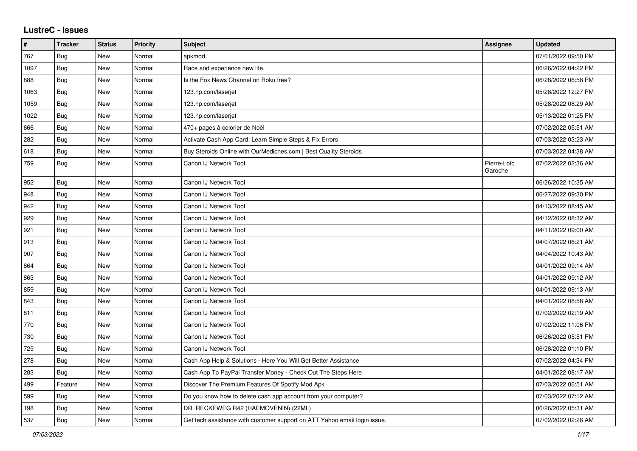## **LustreC - Issues**

| #    | <b>Tracker</b> | <b>Status</b> | <b>Priority</b> | <b>Subject</b>                                                            | <b>Assignee</b>        | <b>Updated</b>      |
|------|----------------|---------------|-----------------|---------------------------------------------------------------------------|------------------------|---------------------|
| 767  | Bug            | New           | Normal          | apkmod                                                                    |                        | 07/01/2022 09:50 PM |
| 1097 | Bug            | New           | Normal          | Race and experience new life.                                             |                        | 06/26/2022 04:22 PM |
| 888  | Bug            | New           | Normal          | Is the Fox News Channel on Roku free?                                     |                        | 06/28/2022 06:58 PM |
| 1063 | <b>Bug</b>     | New           | Normal          | 123.hp.com/laserjet                                                       |                        | 05/28/2022 12:27 PM |
| 1059 | Bug            | New           | Normal          | 123.hp.com/laserjet                                                       |                        | 05/28/2022 08:29 AM |
| 1022 | Bug            | New           | Normal          | 123.hp.com/laserjet                                                       |                        | 05/13/2022 01:25 PM |
| 666  | Bug            | New           | Normal          | 470+ pages à colorier de Noël                                             |                        | 07/02/2022 05:51 AM |
| 282  | Bug            | New           | Normal          | Activate Cash App Card: Learn Simple Steps & Fix Errors                   |                        | 07/03/2022 03:23 AM |
| 618  | <b>Bug</b>     | New           | Normal          | Buy Steroids Online with OurMedicnes.com   Best Quality Steroids          |                        | 07/03/2022 04:38 AM |
| 759  | Bug            | <b>New</b>    | Normal          | Canon IJ Network Tool                                                     | Pierre-Loïc<br>Garoche | 07/02/2022 02:36 AM |
| 952  | <b>Bug</b>     | New           | Normal          | Canon IJ Network Tool                                                     |                        | 06/26/2022 10:35 AM |
| 948  | Bug            | New           | Normal          | Canon IJ Network Tool                                                     |                        | 06/27/2022 09:30 PM |
| 942  | Bug            | New           | Normal          | Canon IJ Network Tool                                                     |                        | 04/13/2022 08:45 AM |
| 929  | <b>Bug</b>     | New           | Normal          | Canon IJ Network Tool                                                     |                        | 04/12/2022 08:32 AM |
| 921  | Bug            | New           | Normal          | Canon IJ Network Tool                                                     |                        | 04/11/2022 09:00 AM |
| 913  | <b>Bug</b>     | <b>New</b>    | Normal          | Canon IJ Network Tool                                                     |                        | 04/07/2022 06:21 AM |
| 907  | Bug            | New           | Normal          | Canon IJ Network Tool                                                     |                        | 04/04/2022 10:43 AM |
| 864  | <b>Bug</b>     | New           | Normal          | Canon IJ Network Tool                                                     |                        | 04/01/2022 09:14 AM |
| 863  | Bug            | New           | Normal          | Canon IJ Network Tool                                                     |                        | 04/01/2022 09:12 AM |
| 859  | Bug            | New           | Normal          | Canon IJ Network Tool                                                     |                        | 04/01/2022 09:13 AM |
| 843  | Bug            | New           | Normal          | Canon IJ Network Tool                                                     |                        | 04/01/2022 08:58 AM |
| 811  | Bug            | <b>New</b>    | Normal          | Canon IJ Network Tool                                                     |                        | 07/02/2022 02:19 AM |
| 770  | Bug            | New           | Normal          | Canon IJ Network Tool                                                     |                        | 07/02/2022 11:06 PM |
| 730  | Bug            | New           | Normal          | Canon IJ Network Tool                                                     |                        | 06/26/2022 05:51 PM |
| 729  | Bug            | New           | Normal          | Canon IJ Network Tool                                                     |                        | 06/28/2022 01:10 PM |
| 278  | <b>Bug</b>     | New           | Normal          | Cash App Help & Solutions - Here You Will Get Better Assistance           |                        | 07/02/2022 04:34 PM |
| 283  | Bug            | New           | Normal          | Cash App To PayPal Transfer Money - Check Out The Steps Here              |                        | 04/01/2022 08:17 AM |
| 499  | Feature        | New           | Normal          | Discover The Premium Features Of Spotify Mod Apk                          |                        | 07/03/2022 06:51 AM |
| 599  | Bug            | New           | Normal          | Do you know how to delete cash app account from your computer?            |                        | 07/03/2022 07:12 AM |
| 198  | Bug            | New           | Normal          | DR. RECKEWEG R42 (HAEMOVENIN) (22ML)                                      |                        | 06/26/2022 05:31 AM |
| 537  | Bug            | New           | Normal          | Get tech assistance with customer support on ATT Yahoo email login issue. |                        | 07/02/2022 02:26 AM |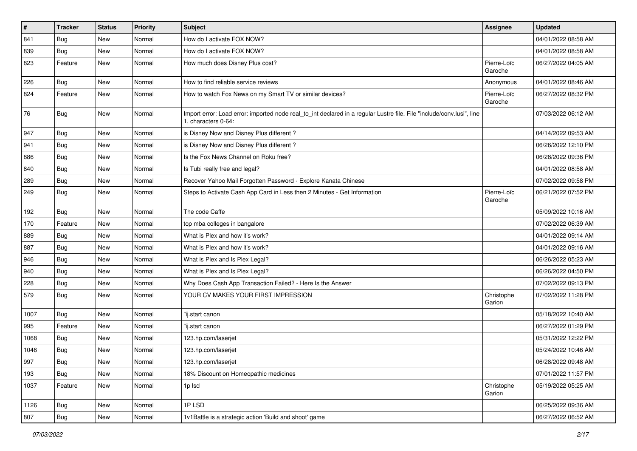| #    | <b>Tracker</b> | <b>Status</b> | <b>Priority</b> | <b>Subject</b>                                                                                                                               | <b>Assignee</b>        | <b>Updated</b>      |
|------|----------------|---------------|-----------------|----------------------------------------------------------------------------------------------------------------------------------------------|------------------------|---------------------|
| 841  | <b>Bug</b>     | New           | Normal          | How do I activate FOX NOW?                                                                                                                   |                        | 04/01/2022 08:58 AM |
| 839  | Bug            | New           | Normal          | How do I activate FOX NOW?                                                                                                                   |                        | 04/01/2022 08:58 AM |
| 823  | Feature        | New           | Normal          | How much does Disney Plus cost?                                                                                                              | Pierre-Loïc<br>Garoche | 06/27/2022 04:05 AM |
| 226  | Bug            | New           | Normal          | How to find reliable service reviews                                                                                                         | Anonymous              | 04/01/2022 08:46 AM |
| 824  | Feature        | New           | Normal          | How to watch Fox News on my Smart TV or similar devices?                                                                                     | Pierre-Loïc<br>Garoche | 06/27/2022 08:32 PM |
| 76   | Bug            | New           | Normal          | Import error: Load error: imported node real_to_int declared in a regular Lustre file. File "include/conv.lusi", line<br>1. characters 0-64: |                        | 07/03/2022 06:12 AM |
| 947  | Bug            | New           | Normal          | is Disney Now and Disney Plus different?                                                                                                     |                        | 04/14/2022 09:53 AM |
| 941  | <b>Bug</b>     | New           | Normal          | is Disney Now and Disney Plus different?                                                                                                     |                        | 06/26/2022 12:10 PM |
| 886  | <b>Bug</b>     | New           | Normal          | Is the Fox News Channel on Roku free?                                                                                                        |                        | 06/28/2022 09:36 PM |
| 840  | Bug            | New           | Normal          | Is Tubi really free and legal?                                                                                                               |                        | 04/01/2022 08:58 AM |
| 289  | <b>Bug</b>     | New           | Normal          | Recover Yahoo Mail Forgotten Password - Explore Kanata Chinese                                                                               |                        | 07/02/2022 09:58 PM |
| 249  | <b>Bug</b>     | New           | Normal          | Steps to Activate Cash App Card in Less then 2 Minutes - Get Information                                                                     | Pierre-Loïc<br>Garoche | 06/21/2022 07:52 PM |
| 192  | <b>Bug</b>     | New           | Normal          | The code Caffe                                                                                                                               |                        | 05/09/2022 10:16 AM |
| 170  | Feature        | New           | Normal          | top mba colleges in bangalore                                                                                                                |                        | 07/02/2022 06:39 AM |
| 889  | <b>Bug</b>     | New           | Normal          | What is Plex and how it's work?                                                                                                              |                        | 04/01/2022 09:14 AM |
| 887  | <b>Bug</b>     | New           | Normal          | What is Plex and how it's work?                                                                                                              |                        | 04/01/2022 09:16 AM |
| 946  | Bug            | New           | Normal          | What is Plex and Is Plex Legal?                                                                                                              |                        | 06/26/2022 05:23 AM |
| 940  | Bug            | New           | Normal          | What is Plex and Is Plex Legal?                                                                                                              |                        | 06/26/2022 04:50 PM |
| 228  | Bug            | New           | Normal          | Why Does Cash App Transaction Failed? - Here Is the Answer                                                                                   |                        | 07/02/2022 09:13 PM |
| 579  | Bug            | New           | Normal          | YOUR CV MAKES YOUR FIRST IMPRESSION                                                                                                          | Christophe<br>Garion   | 07/02/2022 11:28 PM |
| 1007 | Bug            | New           | Normal          | "ij.start canon                                                                                                                              |                        | 05/18/2022 10:40 AM |
| 995  | Feature        | New           | Normal          | "ij.start canon                                                                                                                              |                        | 06/27/2022 01:29 PM |
| 1068 | <b>Bug</b>     | New           | Normal          | 123.hp.com/laserjet                                                                                                                          |                        | 05/31/2022 12:22 PM |
| 1046 | Bug            | New           | Normal          | 123.hp.com/laserjet                                                                                                                          |                        | 05/24/2022 10:46 AM |
| 997  | <b>Bug</b>     | New           | Normal          | 123.hp.com/laserjet                                                                                                                          |                        | 06/28/2022 09:48 AM |
| 193  | <b>Bug</b>     | New           | Normal          | 18% Discount on Homeopathic medicines                                                                                                        |                        | 07/01/2022 11:57 PM |
| 1037 | Feature        | New           | Normal          | 1p Isd                                                                                                                                       | Christophe<br>Garion   | 05/19/2022 05:25 AM |
| 1126 | <b>Bug</b>     | New           | Normal          | 1PLSD                                                                                                                                        |                        | 06/25/2022 09:36 AM |
| 807  | Bug            | New           | Normal          | 1v1Battle is a strategic action 'Build and shoot' game                                                                                       |                        | 06/27/2022 06:52 AM |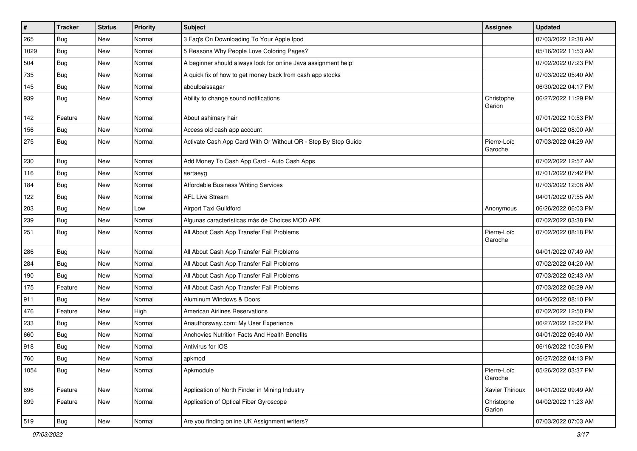| $\vert$ # | <b>Tracker</b> | <b>Status</b> | <b>Priority</b> | <b>Subject</b>                                                 | <b>Assignee</b>        | <b>Updated</b>      |
|-----------|----------------|---------------|-----------------|----------------------------------------------------------------|------------------------|---------------------|
| 265       | Bug            | New           | Normal          | 3 Faq's On Downloading To Your Apple Ipod                      |                        | 07/03/2022 12:38 AM |
| 1029      | Bug            | New           | Normal          | 5 Reasons Why People Love Coloring Pages?                      |                        | 05/16/2022 11:53 AM |
| 504       | <b>Bug</b>     | New           | Normal          | A beginner should always look for online Java assignment help! |                        | 07/02/2022 07:23 PM |
| 735       | <b>Bug</b>     | New           | Normal          | A quick fix of how to get money back from cash app stocks      |                        | 07/03/2022 05:40 AM |
| 145       | Bug            | New           | Normal          | abdulbaissagar                                                 |                        | 06/30/2022 04:17 PM |
| 939       | Bug            | New           | Normal          | Ability to change sound notifications                          | Christophe<br>Garion   | 06/27/2022 11:29 PM |
| 142       | Feature        | New           | Normal          | About ashimary hair                                            |                        | 07/01/2022 10:53 PM |
| 156       | <b>Bug</b>     | New           | Normal          | Access old cash app account                                    |                        | 04/01/2022 08:00 AM |
| 275       | <b>Bug</b>     | New           | Normal          | Activate Cash App Card With Or Without QR - Step By Step Guide | Pierre-Loïc<br>Garoche | 07/03/2022 04:29 AM |
| 230       | Bug            | New           | Normal          | Add Money To Cash App Card - Auto Cash Apps                    |                        | 07/02/2022 12:57 AM |
| 116       | Bug            | New           | Normal          | aertaeyg                                                       |                        | 07/01/2022 07:42 PM |
| 184       | <b>Bug</b>     | New           | Normal          | Affordable Business Writing Services                           |                        | 07/03/2022 12:08 AM |
| 122       | <b>Bug</b>     | New           | Normal          | <b>AFL Live Stream</b>                                         |                        | 04/01/2022 07:55 AM |
| 203       | <b>Bug</b>     | New           | Low             | Airport Taxi Guildford                                         | Anonymous              | 06/26/2022 06:03 PM |
| 239       | <b>Bug</b>     | New           | Normal          | Algunas características más de Choices MOD APK                 |                        | 07/02/2022 03:38 PM |
| 251       | Bug            | New           | Normal          | All About Cash App Transfer Fail Problems                      | Pierre-Loïc<br>Garoche | 07/02/2022 08:18 PM |
| 286       | <b>Bug</b>     | New           | Normal          | All About Cash App Transfer Fail Problems                      |                        | 04/01/2022 07:49 AM |
| 284       | Bug            | New           | Normal          | All About Cash App Transfer Fail Problems                      |                        | 07/02/2022 04:20 AM |
| 190       | <b>Bug</b>     | New           | Normal          | All About Cash App Transfer Fail Problems                      |                        | 07/03/2022 02:43 AM |
| 175       | Feature        | New           | Normal          | All About Cash App Transfer Fail Problems                      |                        | 07/03/2022 06:29 AM |
| 911       | Bug            | New           | Normal          | Aluminum Windows & Doors                                       |                        | 04/06/2022 08:10 PM |
| 476       | Feature        | New           | High            | <b>American Airlines Reservations</b>                          |                        | 07/02/2022 12:50 PM |
| 233       | Bug            | New           | Normal          | Anauthorsway.com: My User Experience                           |                        | 06/27/2022 12:02 PM |
| 660       | <b>Bug</b>     | New           | Normal          | Anchovies Nutrition Facts And Health Benefits                  |                        | 04/01/2022 09:40 AM |
| 918       | <b>Bug</b>     | New           | Normal          | Antivirus for IOS                                              |                        | 06/16/2022 10:36 PM |
| 760       | Bug            | New           | Normal          | apkmod                                                         |                        | 06/27/2022 04:13 PM |
| 1054      | <b>Bug</b>     | New           | Normal          | Apkmodule                                                      | Pierre-Loïc<br>Garoche | 05/26/2022 03:37 PM |
| 896       | Feature        | New           | Normal          | Application of North Finder in Mining Industry                 | Xavier Thirioux        | 04/01/2022 09:49 AM |
| 899       | Feature        | New           | Normal          | Application of Optical Fiber Gyroscope                         | Christophe<br>Garion   | 04/02/2022 11:23 AM |
| 519       | Bug            | New           | Normal          | Are you finding online UK Assignment writers?                  |                        | 07/03/2022 07:03 AM |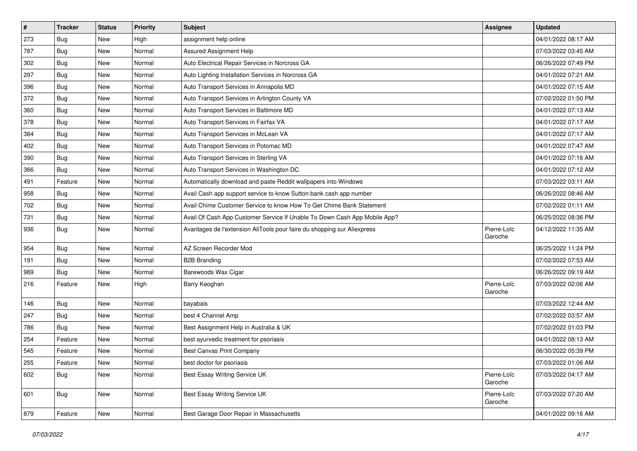| $\vert$ # | <b>Tracker</b> | <b>Status</b> | <b>Priority</b> | Subject                                                                   | <b>Assignee</b>        | <b>Updated</b>      |
|-----------|----------------|---------------|-----------------|---------------------------------------------------------------------------|------------------------|---------------------|
| 273       | Bug            | New           | High            | assignment help online                                                    |                        | 04/01/2022 08:17 AM |
| 787       | Bug            | <b>New</b>    | Normal          | Assured Assignment Help                                                   |                        | 07/03/2022 03:45 AM |
| 302       | <b>Bug</b>     | New           | Normal          | Auto Electrical Repair Services in Norcross GA                            |                        | 06/26/2022 07:49 PM |
| 297       | <b>Bug</b>     | New           | Normal          | Auto Lighting Installation Services in Norcross GA                        |                        | 04/01/2022 07:21 AM |
| 396       | Bug            | New           | Normal          | Auto Transport Services in Annapolis MD                                   |                        | 04/01/2022 07:15 AM |
| 372       | Bug            | New           | Normal          | Auto Transport Services in Arlington County VA                            |                        | 07/02/2022 01:50 PM |
| 360       | Bug            | New           | Normal          | Auto Transport Services in Baltimore MD                                   |                        | 04/01/2022 07:13 AM |
| 378       | Bug            | New           | Normal          | Auto Transport Services in Fairfax VA                                     |                        | 04/01/2022 07:17 AM |
| 384       | <b>Bug</b>     | <b>New</b>    | Normal          | Auto Transport Services in McLean VA                                      |                        | 04/01/2022 07:17 AM |
| 402       | Bug            | New           | Normal          | Auto Transport Services in Potomac MD                                     |                        | 04/01/2022 07:47 AM |
| 390       | Bug            | New           | Normal          | Auto Transport Services in Sterling VA                                    |                        | 04/01/2022 07:16 AM |
| 366       | <b>Bug</b>     | New           | Normal          | Auto Transport Services in Washington DC                                  |                        | 04/01/2022 07:12 AM |
| 491       | Feature        | New           | Normal          | Automatically download and paste Reddit wallpapers into Windows           |                        | 07/03/2022 03:11 AM |
| 958       | <b>Bug</b>     | New           | Normal          | Avail Cash app support service to know Sutton bank cash app number        |                        | 06/26/2022 08:46 AM |
| 702       | Bug            | New           | Normal          | Avail Chime Customer Service to know How To Get Chime Bank Statement      |                        | 07/02/2022 01:11 AM |
| 731       | <b>Bug</b>     | New           | Normal          | Avail Of Cash App Customer Service If Unable To Down Cash App Mobile App? |                        | 06/25/2022 08:36 PM |
| 936       | <b>Bug</b>     | New           | Normal          | Avantages de l'extension AliTools pour faire du shopping sur Aliexpress   | Pierre-Loïc<br>Garoche | 04/12/2022 11:35 AM |
| 954       | <b>Bug</b>     | New           | Normal          | AZ Screen Recorder Mod                                                    |                        | 06/25/2022 11:24 PM |
| 191       | Bug            | New           | Normal          | <b>B2B Branding</b>                                                       |                        | 07/02/2022 07:53 AM |
| 989       | <b>Bug</b>     | New           | Normal          | Barewoods Wax Cigar                                                       |                        | 06/26/2022 09:19 AM |
| 216       | Feature        | New           | High            | Barry Keoghan                                                             | Pierre-Loïc<br>Garoche | 07/03/2022 02:06 AM |
| 146       | <b>Bug</b>     | New           | Normal          | bayabais                                                                  |                        | 07/03/2022 12:44 AM |
| 247       | <b>Bug</b>     | New           | Normal          | best 4 Channel Amp                                                        |                        | 07/02/2022 03:57 AM |
| 786       | <b>Bug</b>     | New           | Normal          | Best Assignment Help in Australia & UK                                    |                        | 07/02/2022 01:03 PM |
| 254       | Feature        | New           | Normal          | best ayurvedic treatment for psoriasis                                    |                        | 04/01/2022 08:13 AM |
| 545       | Feature        | New           | Normal          | <b>Best Canvas Print Company</b>                                          |                        | 06/30/2022 05:39 PM |
| 255       | Feature        | New           | Normal          | best doctor for psoriasis                                                 |                        | 07/03/2022 01:06 AM |
| 602       | Bug            | New           | Normal          | Best Essay Writing Service UK                                             | Pierre-Loïc<br>Garoche | 07/03/2022 04:17 AM |
| 601       | Bug            | New           | Normal          | Best Essay Writing Service UK                                             | Pierre-Loïc<br>Garoche | 07/03/2022 07:20 AM |
| 879       | Feature        | New           | Normal          | Best Garage Door Repair in Massachusetts                                  |                        | 04/01/2022 09:16 AM |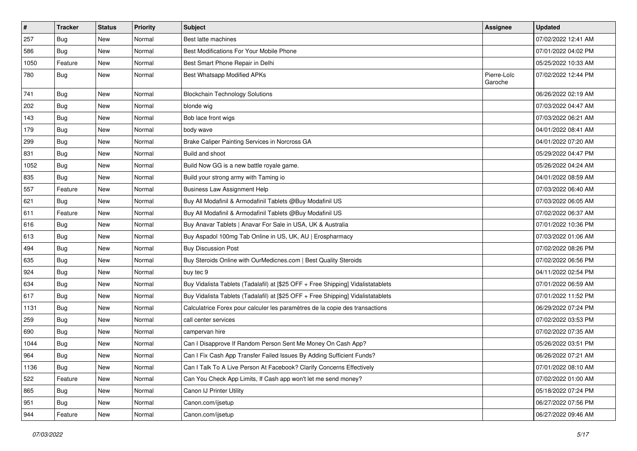| $\vert$ # | <b>Tracker</b> | <b>Status</b> | <b>Priority</b> | Subject                                                                          | <b>Assignee</b>        | <b>Updated</b>      |
|-----------|----------------|---------------|-----------------|----------------------------------------------------------------------------------|------------------------|---------------------|
| 257       | Bug            | New           | Normal          | Best latte machines                                                              |                        | 07/02/2022 12:41 AM |
| 586       | Bug            | <b>New</b>    | Normal          | Best Modifications For Your Mobile Phone                                         |                        | 07/01/2022 04:02 PM |
| 1050      | Feature        | New           | Normal          | Best Smart Phone Repair in Delhi                                                 |                        | 05/25/2022 10:33 AM |
| 780       | <b>Bug</b>     | New           | Normal          | Best Whatsapp Modified APKs                                                      | Pierre-Loïc<br>Garoche | 07/02/2022 12:44 PM |
| 741       | Bug            | New           | Normal          | <b>Blockchain Technology Solutions</b>                                           |                        | 06/26/2022 02:19 AM |
| 202       | <b>Bug</b>     | New           | Normal          | blonde wig                                                                       |                        | 07/03/2022 04:47 AM |
| 143       | Bug            | New           | Normal          | Bob lace front wigs                                                              |                        | 07/03/2022 06:21 AM |
| 179       | <b>Bug</b>     | New           | Normal          | body wave                                                                        |                        | 04/01/2022 08:41 AM |
| 299       | Bug            | New           | Normal          | Brake Caliper Painting Services in Norcross GA                                   |                        | 04/01/2022 07:20 AM |
| 831       | <b>Bug</b>     | New           | Normal          | Build and shoot                                                                  |                        | 05/29/2022 04:47 PM |
| 1052      | <b>Bug</b>     | New           | Normal          | Build Now GG is a new battle royale game.                                        |                        | 05/26/2022 04:24 AM |
| 835       | Bug            | New           | Normal          | Build your strong army with Taming io                                            |                        | 04/01/2022 08:59 AM |
| 557       | Feature        | New           | Normal          | <b>Business Law Assignment Help</b>                                              |                        | 07/03/2022 06:40 AM |
| 621       | <b>Bug</b>     | New           | Normal          | Buy All Modafinil & Armodafinil Tablets @Buy Modafinil US                        |                        | 07/03/2022 06:05 AM |
| 611       | Feature        | New           | Normal          | Buy All Modafinil & Armodafinil Tablets @Buy Modafinil US                        |                        | 07/02/2022 06:37 AM |
| 616       | Bug            | New           | Normal          | Buy Anavar Tablets   Anavar For Sale in USA, UK & Australia                      |                        | 07/01/2022 10:36 PM |
| 613       | Bug            | New           | Normal          | Buy Aspadol 100mg Tab Online in US, UK, AU   Erospharmacy                        |                        | 07/03/2022 01:06 AM |
| 494       | <b>Bug</b>     | New           | Normal          | <b>Buy Discussion Post</b>                                                       |                        | 07/02/2022 08:26 PM |
| 635       | <b>Bug</b>     | New           | Normal          | Buy Steroids Online with OurMedicnes.com   Best Quality Steroids                 |                        | 07/02/2022 06:56 PM |
| 924       | Bug            | New           | Normal          | buy tec 9                                                                        |                        | 04/11/2022 02:54 PM |
| 634       | <b>Bug</b>     | New           | Normal          | Buy Vidalista Tablets (Tadalafil) at [\$25 OFF + Free Shipping] Vidalistatablets |                        | 07/01/2022 06:59 AM |
| 617       | Bug            | New           | Normal          | Buy Vidalista Tablets (Tadalafil) at [\$25 OFF + Free Shipping] Vidalistatablets |                        | 07/01/2022 11:52 PM |
| 1131      | <b>Bug</b>     | New           | Normal          | Calculatrice Forex pour calculer les paramètres de la copie des transactions     |                        | 06/29/2022 07:24 PM |
| 259       | Bug            | New           | Normal          | call center services                                                             |                        | 07/02/2022 03:53 PM |
| 690       | <b>Bug</b>     | New           | Normal          | campervan hire                                                                   |                        | 07/02/2022 07:35 AM |
| 1044      | Bug            | New           | Normal          | Can I Disapprove If Random Person Sent Me Money On Cash App?                     |                        | 05/26/2022 03:51 PM |
| 964       | <b>Bug</b>     | New           | Normal          | Can I Fix Cash App Transfer Failed Issues By Adding Sufficient Funds?            |                        | 06/26/2022 07:21 AM |
| 1136      | Bug            | New           | Normal          | Can I Talk To A Live Person At Facebook? Clarify Concerns Effectively            |                        | 07/01/2022 08:10 AM |
| 522       | Feature        | New           | Normal          | Can You Check App Limits, If Cash app won't let me send money?                   |                        | 07/02/2022 01:00 AM |
| 865       | Bug            | New           | Normal          | Canon IJ Printer Utility                                                         |                        | 05/18/2022 07:24 PM |
| 951       | <b>Bug</b>     | New           | Normal          | Canon.com/ijsetup                                                                |                        | 06/27/2022 07:56 PM |
| 944       | Feature        | New           | Normal          | Canon.com/ijsetup                                                                |                        | 06/27/2022 09:46 AM |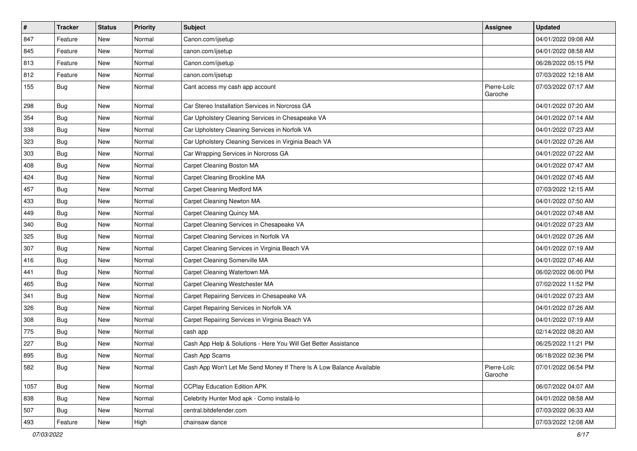| $\sharp$ | <b>Tracker</b> | <b>Status</b> | <b>Priority</b> | Subject                                                              | <b>Assignee</b>        | <b>Updated</b>      |
|----------|----------------|---------------|-----------------|----------------------------------------------------------------------|------------------------|---------------------|
| 847      | Feature        | New           | Normal          | Canon.com/ijsetup                                                    |                        | 04/01/2022 09:08 AM |
| 845      | Feature        | <b>New</b>    | Normal          | canon.com/ijsetup                                                    |                        | 04/01/2022 08:58 AM |
| 813      | Feature        | New           | Normal          | Canon.com/ijsetup                                                    |                        | 06/28/2022 05:15 PM |
| 812      | Feature        | New           | Normal          | canon.com/ijsetup                                                    |                        | 07/03/2022 12:18 AM |
| 155      | <b>Bug</b>     | New           | Normal          | Cant access my cash app account                                      | Pierre-Loïc<br>Garoche | 07/03/2022 07:17 AM |
| 298      | <b>Bug</b>     | New           | Normal          | Car Stereo Installation Services in Norcross GA                      |                        | 04/01/2022 07:20 AM |
| 354      | Bug            | New           | Normal          | Car Upholstery Cleaning Services in Chesapeake VA                    |                        | 04/01/2022 07:14 AM |
| 338      | <b>Bug</b>     | New           | Normal          | Car Upholstery Cleaning Services in Norfolk VA                       |                        | 04/01/2022 07:23 AM |
| 323      | <b>Bug</b>     | New           | Normal          | Car Upholstery Cleaning Services in Virginia Beach VA                |                        | 04/01/2022 07:26 AM |
| 303      | <b>Bug</b>     | New           | Normal          | Car Wrapping Services in Norcross GA                                 |                        | 04/01/2022 07:22 AM |
| 408      | Bug            | New           | Normal          | Carpet Cleaning Boston MA                                            |                        | 04/01/2022 07:47 AM |
| 424      | <b>Bug</b>     | New           | Normal          | Carpet Cleaning Brookline MA                                         |                        | 04/01/2022 07:45 AM |
| 457      | Bug            | New           | Normal          | Carpet Cleaning Medford MA                                           |                        | 07/03/2022 12:15 AM |
| 433      | Bug            | New           | Normal          | Carpet Cleaning Newton MA                                            |                        | 04/01/2022 07:50 AM |
| 449      | <b>Bug</b>     | New           | Normal          | <b>Carpet Cleaning Quincy MA</b>                                     |                        | 04/01/2022 07:48 AM |
| 340      | Bug            | New           | Normal          | Carpet Cleaning Services in Chesapeake VA                            |                        | 04/01/2022 07:23 AM |
| 325      | Bug            | <b>New</b>    | Normal          | Carpet Cleaning Services in Norfolk VA                               |                        | 04/01/2022 07:26 AM |
| 307      | Bug            | New           | Normal          | Carpet Cleaning Services in Virginia Beach VA                        |                        | 04/01/2022 07:19 AM |
| 416      | <b>Bug</b>     | New           | Normal          | Carpet Cleaning Somerville MA                                        |                        | 04/01/2022 07:46 AM |
| 441      | Bug            | New           | Normal          | Carpet Cleaning Watertown MA                                         |                        | 06/02/2022 06:00 PM |
| 465      | <b>Bug</b>     | New           | Normal          | Carpet Cleaning Westchester MA                                       |                        | 07/02/2022 11:52 PM |
| 341      | Bug            | New           | Normal          | Carpet Repairing Services in Chesapeake VA                           |                        | 04/01/2022 07:23 AM |
| 326      | <b>Bug</b>     | New           | Normal          | Carpet Repairing Services in Norfolk VA                              |                        | 04/01/2022 07:26 AM |
| 308      | Bug            | New           | Normal          | Carpet Repairing Services in Virginia Beach VA                       |                        | 04/01/2022 07:19 AM |
| 775      | <b>Bug</b>     | New           | Normal          | cash app                                                             |                        | 02/14/2022 08:20 AM |
| 227      | Bug            | New           | Normal          | Cash App Help & Solutions - Here You Will Get Better Assistance      |                        | 06/25/2022 11:21 PM |
| 895      | <b>Bug</b>     | New           | Normal          | Cash App Scams                                                       |                        | 06/18/2022 02:36 PM |
| 582      | Bug            | New           | Normal          | Cash App Won't Let Me Send Money If There Is A Low Balance Available | Pierre-Loïc<br>Garoche | 07/01/2022 06:54 PM |
| 1057     | Bug            | New           | Normal          | <b>CCPlay Education Edition APK</b>                                  |                        | 06/07/2022 04:07 AM |
| 838      | Bug            | New           | Normal          | Celebrity Hunter Mod apk - Como instalá-lo                           |                        | 04/01/2022 08:58 AM |
| 507      | <b>Bug</b>     | New           | Normal          | central.bitdefender.com                                              |                        | 07/03/2022 06:33 AM |
| 493      | Feature        | New           | High            | chainsaw dance                                                       |                        | 07/03/2022 12:08 AM |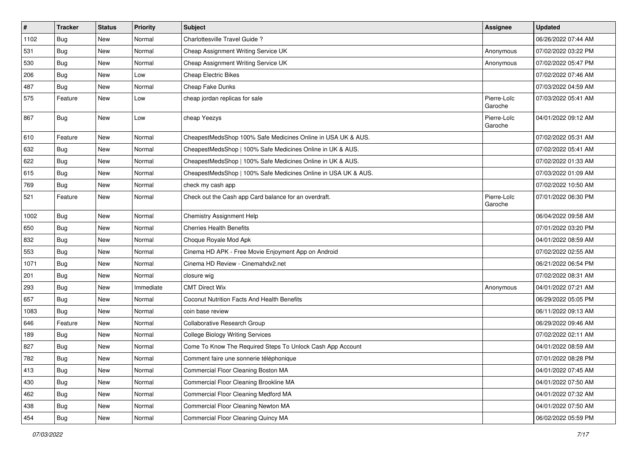| $\sharp$ | <b>Tracker</b> | <b>Status</b> | <b>Priority</b> | Subject                                                        | <b>Assignee</b>        | <b>Updated</b>      |
|----------|----------------|---------------|-----------------|----------------------------------------------------------------|------------------------|---------------------|
| 1102     | Bug            | New           | Normal          | Charlottesville Travel Guide?                                  |                        | 06/26/2022 07:44 AM |
| 531      | Bug            | New           | Normal          | Cheap Assignment Writing Service UK                            | Anonymous              | 07/02/2022 03:22 PM |
| 530      | <b>Bug</b>     | New           | Normal          | Cheap Assignment Writing Service UK                            | Anonymous              | 07/02/2022 05:47 PM |
| 206      | Bug            | New           | Low             | <b>Cheap Electric Bikes</b>                                    |                        | 07/02/2022 07:46 AM |
| 487      | <b>Bug</b>     | <b>New</b>    | Normal          | Cheap Fake Dunks                                               |                        | 07/03/2022 04:59 AM |
| 575      | Feature        | New           | Low             | cheap jordan replicas for sale                                 | Pierre-Loïc<br>Garoche | 07/03/2022 05:41 AM |
| 867      | Bug            | New           | Low             | cheap Yeezys                                                   | Pierre-Loïc<br>Garoche | 04/01/2022 09:12 AM |
| 610      | Feature        | <b>New</b>    | Normal          | CheapestMedsShop 100% Safe Medicines Online in USA UK & AUS.   |                        | 07/02/2022 05:31 AM |
| 632      | <b>Bug</b>     | New           | Normal          | CheapestMedsShop   100% Safe Medicines Online in UK & AUS.     |                        | 07/02/2022 05:41 AM |
| 622      | Bug            | New           | Normal          | CheapestMedsShop   100% Safe Medicines Online in UK & AUS.     |                        | 07/02/2022 01:33 AM |
| 615      | Bug            | New           | Normal          | CheapestMedsShop   100% Safe Medicines Online in USA UK & AUS. |                        | 07/03/2022 01:09 AM |
| 769      | <b>Bug</b>     | New           | Normal          | check my cash app                                              |                        | 07/02/2022 10:50 AM |
| 521      | Feature        | New           | Normal          | Check out the Cash app Card balance for an overdraft.          | Pierre-Loïc<br>Garoche | 07/01/2022 06:30 PM |
| 1002     | Bug            | New           | Normal          | Chemistry Assignment Help                                      |                        | 06/04/2022 09:58 AM |
| 650      | Bug            | New           | Normal          | <b>Cherries Health Benefits</b>                                |                        | 07/01/2022 03:20 PM |
| 832      | <b>Bug</b>     | New           | Normal          | Choque Royale Mod Apk                                          |                        | 04/01/2022 08:59 AM |
| 553      | Bug            | New           | Normal          | Cinema HD APK - Free Movie Enjoyment App on Android            |                        | 07/02/2022 02:55 AM |
| 1071     | <b>Bug</b>     | New           | Normal          | Cinema HD Review - Cinemahdv2.net                              |                        | 06/21/2022 06:54 PM |
| 201      | Bug            | New           | Normal          | closure wig                                                    |                        | 07/02/2022 08:31 AM |
| 293      | <b>Bug</b>     | New           | Immediate       | <b>CMT Direct Wix</b>                                          | Anonymous              | 04/01/2022 07:21 AM |
| 657      | Bug            | New           | Normal          | Coconut Nutrition Facts And Health Benefits                    |                        | 06/29/2022 05:05 PM |
| 1083     | <b>Bug</b>     | New           | Normal          | coin base review                                               |                        | 06/11/2022 09:13 AM |
| 646      | Feature        | New           | Normal          | Collaborative Research Group                                   |                        | 06/29/2022 09:46 AM |
| 189      | <b>Bug</b>     | New           | Normal          | <b>College Biology Writing Services</b>                        |                        | 07/02/2022 02:11 AM |
| 827      | <b>Bug</b>     | New           | Normal          | Come To Know The Required Steps To Unlock Cash App Account     |                        | 04/01/2022 08:59 AM |
| 782      | Bug            | New           | Normal          | Comment faire une sonnerie téléphonique                        |                        | 07/01/2022 08:28 PM |
| 413      | Bug            | New           | Normal          | Commercial Floor Cleaning Boston MA                            |                        | 04/01/2022 07:45 AM |
| 430      | <b>Bug</b>     | New           | Normal          | Commercial Floor Cleaning Brookline MA                         |                        | 04/01/2022 07:50 AM |
| 462      | <b>Bug</b>     | New           | Normal          | Commercial Floor Cleaning Medford MA                           |                        | 04/01/2022 07:32 AM |
| 438      | <b>Bug</b>     | New           | Normal          | Commercial Floor Cleaning Newton MA                            |                        | 04/01/2022 07:50 AM |
| 454      | Bug            | New           | Normal          | Commercial Floor Cleaning Quincy MA                            |                        | 06/02/2022 05:59 PM |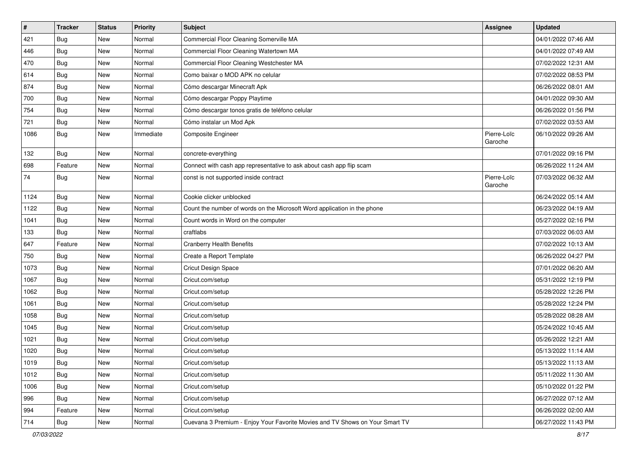| $\sharp$ | <b>Tracker</b> | <b>Status</b> | <b>Priority</b> | Subject                                                                      | <b>Assignee</b>        | <b>Updated</b>      |
|----------|----------------|---------------|-----------------|------------------------------------------------------------------------------|------------------------|---------------------|
| 421      | <b>Bug</b>     | New           | Normal          | Commercial Floor Cleaning Somerville MA                                      |                        | 04/01/2022 07:46 AM |
| 446      | <b>Bug</b>     | New           | Normal          | Commercial Floor Cleaning Watertown MA                                       |                        | 04/01/2022 07:49 AM |
| 470      | Bug            | New           | Normal          | Commercial Floor Cleaning Westchester MA                                     |                        | 07/02/2022 12:31 AM |
| 614      | <b>Bug</b>     | New           | Normal          | Como baixar o MOD APK no celular                                             |                        | 07/02/2022 08:53 PM |
| 874      | Bug            | New           | Normal          | Cómo descargar Minecraft Apk                                                 |                        | 06/26/2022 08:01 AM |
| 700      | Bug            | New           | Normal          | Cómo descargar Poppy Playtime                                                |                        | 04/01/2022 09:30 AM |
| 754      | Bug            | New           | Normal          | Cómo descargar tonos gratis de teléfono celular                              |                        | 06/26/2022 01:56 PM |
| 721      | Bug            | New           | Normal          | Cómo instalar un Mod Apk                                                     |                        | 07/02/2022 03:53 AM |
| 1086     | <b>Bug</b>     | New           | Immediate       | Composite Engineer                                                           | Pierre-Loïc<br>Garoche | 06/10/2022 09:26 AM |
| 132      | Bug            | New           | Normal          | concrete-everything                                                          |                        | 07/01/2022 09:16 PM |
| 698      | Feature        | New           | Normal          | Connect with cash app representative to ask about cash app flip scam         |                        | 06/26/2022 11:24 AM |
| 74       | Bug            | New           | Normal          | const is not supported inside contract                                       | Pierre-Loïc<br>Garoche | 07/03/2022 06:32 AM |
| 1124     | Bug            | New           | Normal          | Cookie clicker unblocked                                                     |                        | 06/24/2022 05:14 AM |
| 1122     | Bug            | New           | Normal          | Count the number of words on the Microsoft Word application in the phone     |                        | 06/23/2022 04:19 AM |
| 1041     | <b>Bug</b>     | <b>New</b>    | Normal          | Count words in Word on the computer                                          |                        | 05/27/2022 02:16 PM |
| 133      | Bug            | New           | Normal          | craftlabs                                                                    |                        | 07/03/2022 06:03 AM |
| 647      | Feature        | New           | Normal          | <b>Cranberry Health Benefits</b>                                             |                        | 07/02/2022 10:13 AM |
| 750      | <b>Bug</b>     | New           | Normal          | Create a Report Template                                                     |                        | 06/26/2022 04:27 PM |
| 1073     | Bug            | New           | Normal          | Cricut Design Space                                                          |                        | 07/01/2022 06:20 AM |
| 1067     | Bug            | New           | Normal          | Cricut.com/setup                                                             |                        | 05/31/2022 12:19 PM |
| 1062     | <b>Bug</b>     | New           | Normal          | Cricut.com/setup                                                             |                        | 05/28/2022 12:26 PM |
| 1061     | <b>Bug</b>     | New           | Normal          | Cricut.com/setup                                                             |                        | 05/28/2022 12:24 PM |
| 1058     | <b>Bug</b>     | New           | Normal          | Cricut.com/setup                                                             |                        | 05/28/2022 08:28 AM |
| 1045     | Bug            | New           | Normal          | Cricut.com/setup                                                             |                        | 05/24/2022 10:45 AM |
| 1021     | <b>Bug</b>     | New           | Normal          | Cricut.com/setup                                                             |                        | 05/26/2022 12:21 AM |
| 1020     | <b>Bug</b>     | New           | Normal          | Cricut.com/setup                                                             |                        | 05/13/2022 11:14 AM |
| 1019     | Bug            | New           | Normal          | Cricut.com/setup                                                             |                        | 05/13/2022 11:13 AM |
| 1012     | Bug            | New           | Normal          | Cricut.com/setup                                                             |                        | 05/11/2022 11:30 AM |
| 1006     | Bug            | New           | Normal          | Cricut.com/setup                                                             |                        | 05/10/2022 01:22 PM |
| 996      | <b>Bug</b>     | New           | Normal          | Cricut.com/setup                                                             |                        | 06/27/2022 07:12 AM |
| 994      | Feature        | New           | Normal          | Cricut.com/setup                                                             |                        | 06/26/2022 02:00 AM |
| 714      | <b>Bug</b>     | New           | Normal          | Cuevana 3 Premium - Enjoy Your Favorite Movies and TV Shows on Your Smart TV |                        | 06/27/2022 11:43 PM |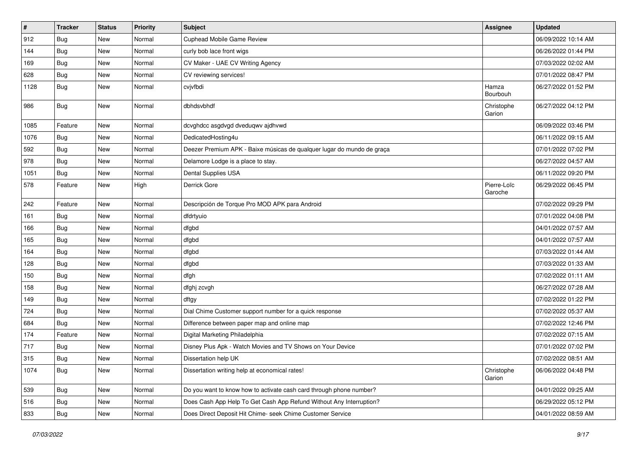| $\pmb{\#}$ | <b>Tracker</b> | <b>Status</b> | <b>Priority</b> | <b>Subject</b>                                                         | <b>Assignee</b>        | <b>Updated</b>      |
|------------|----------------|---------------|-----------------|------------------------------------------------------------------------|------------------------|---------------------|
| 912        | <b>Bug</b>     | New           | Normal          | Cuphead Mobile Game Review                                             |                        | 06/09/2022 10:14 AM |
| 144        | Bug            | New           | Normal          | curly bob lace front wigs                                              |                        | 06/26/2022 01:44 PM |
| 169        | <b>Bug</b>     | New           | Normal          | CV Maker - UAE CV Writing Agency                                       |                        | 07/03/2022 02:02 AM |
| 628        | Bug            | New           | Normal          | CV reviewing services!                                                 |                        | 07/01/2022 08:47 PM |
| 1128       | <b>Bug</b>     | New           | Normal          | cvjvfbdi                                                               | Hamza<br>Bourbouh      | 06/27/2022 01:52 PM |
| 986        | <b>Bug</b>     | New           | Normal          | dbhdsvbhdf                                                             | Christophe<br>Garion   | 06/27/2022 04:12 PM |
| 1085       | Feature        | New           | Normal          | dcvghdcc asgdvgd dveduqwv ajdhvwd                                      |                        | 06/09/2022 03:46 PM |
| 1076       | Bug            | New           | Normal          | DedicatedHosting4u                                                     |                        | 06/11/2022 09:15 AM |
| 592        | Bug            | New           | Normal          | Deezer Premium APK - Baixe músicas de qualquer lugar do mundo de graça |                        | 07/01/2022 07:02 PM |
| 978        | <b>Bug</b>     | New           | Normal          | Delamore Lodge is a place to stay.                                     |                        | 06/27/2022 04:57 AM |
| 1051       | <b>Bug</b>     | New           | Normal          | Dental Supplies USA                                                    |                        | 06/11/2022 09:20 PM |
| 578        | Feature        | New           | High            | Derrick Gore                                                           | Pierre-Loïc<br>Garoche | 06/29/2022 06:45 PM |
| 242        | Feature        | New           | Normal          | Descripción de Torque Pro MOD APK para Android                         |                        | 07/02/2022 09:29 PM |
| 161        | <b>Bug</b>     | New           | Normal          | dfdrtyuio                                                              |                        | 07/01/2022 04:08 PM |
| 166        | Bug            | New           | Normal          | dfgbd                                                                  |                        | 04/01/2022 07:57 AM |
| 165        | <b>Bug</b>     | New           | Normal          | dfgbd                                                                  |                        | 04/01/2022 07:57 AM |
| 164        | Bug            | New           | Normal          | dfgbd                                                                  |                        | 07/03/2022 01:44 AM |
| 128        | <b>Bug</b>     | New           | Normal          | dfgbd                                                                  |                        | 07/03/2022 01:33 AM |
| 150        | Bug            | New           | Normal          | dfgh                                                                   |                        | 07/02/2022 01:11 AM |
| 158        | Bug            | New           | Normal          | dfghj zcvgh                                                            |                        | 06/27/2022 07:28 AM |
| 149        | <b>Bug</b>     | New           | Normal          | dftgy                                                                  |                        | 07/02/2022 01:22 PM |
| 724        | <b>Bug</b>     | New           | Normal          | Dial Chime Customer support number for a quick response                |                        | 07/02/2022 05:37 AM |
| 684        | <b>Bug</b>     | New           | Normal          | Difference between paper map and online map                            |                        | 07/02/2022 12:46 PM |
| 174        | Feature        | New           | Normal          | Digital Marketing Philadelphia                                         |                        | 07/02/2022 07:15 AM |
| 717        | <b>Bug</b>     | New           | Normal          | Disney Plus Apk - Watch Movies and TV Shows on Your Device             |                        | 07/01/2022 07:02 PM |
| 315        | Bug            | New           | Normal          | Dissertation help UK                                                   |                        | 07/02/2022 08:51 AM |
| 1074       | <b>Bug</b>     | New           | Normal          | Dissertation writing help at economical rates!                         | Christophe<br>Garion   | 06/06/2022 04:48 PM |
| 539        | Bug            | New           | Normal          | Do you want to know how to activate cash card through phone number?    |                        | 04/01/2022 09:25 AM |
| 516        | Bug            | New           | Normal          | Does Cash App Help To Get Cash App Refund Without Any Interruption?    |                        | 06/29/2022 05:12 PM |
| 833        | <b>Bug</b>     | New           | Normal          | Does Direct Deposit Hit Chime- seek Chime Customer Service             |                        | 04/01/2022 08:59 AM |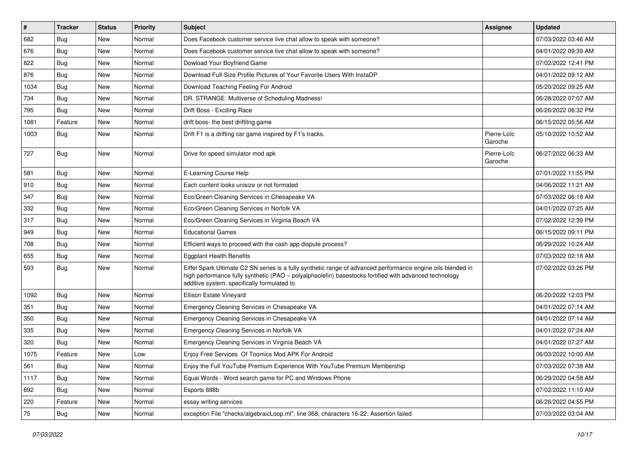| #    | <b>Tracker</b> | <b>Status</b> | <b>Priority</b> | <b>Subject</b>                                                                                                                                                                                                                                                        | <b>Assignee</b>        | <b>Updated</b>      |
|------|----------------|---------------|-----------------|-----------------------------------------------------------------------------------------------------------------------------------------------------------------------------------------------------------------------------------------------------------------------|------------------------|---------------------|
| 682  | <b>Bug</b>     | New           | Normal          | Does Facebook customer service live chat allow to speak with someone?                                                                                                                                                                                                 |                        | 07/03/2022 03:46 AM |
| 676  | Bug            | New           | Normal          | Does Facebook customer service live chat allow to speak with someone?                                                                                                                                                                                                 |                        | 04/01/2022 09:39 AM |
| 822  | <b>Bug</b>     | New           | Normal          | Dowload Your Boyfriend Game                                                                                                                                                                                                                                           |                        | 07/02/2022 12:41 PM |
| 876  | <b>Bug</b>     | New           | Normal          | Download Full-Size Profile Pictures of Your Favorite Users With InstaDP                                                                                                                                                                                               |                        | 04/01/2022 09:12 AM |
| 1034 | Bug            | New           | Normal          | Download Teaching Feeling For Android                                                                                                                                                                                                                                 |                        | 05/20/2022 09:25 AM |
| 734  | <b>Bug</b>     | New           | Normal          | DR. STRANGE: Multiverse of Scheduling Madness!                                                                                                                                                                                                                        |                        | 06/28/2022 07:07 AM |
| 795  | Bug            | New           | Normal          | Drift Boss - Exciting Race                                                                                                                                                                                                                                            |                        | 06/26/2022 06:32 PM |
| 1081 | Feature        | <b>New</b>    | Normal          | drift boss- the best driftitng game                                                                                                                                                                                                                                   |                        | 06/15/2022 05:56 AM |
| 1003 | Bug            | New           | Normal          | Drift F1 is a drifting car game inspired by F1's tracks.                                                                                                                                                                                                              | Pierre-Loïc<br>Garoche | 05/10/2022 10:52 AM |
| 727  | Bug            | New           | Normal          | Drive for speed simulator mod apk                                                                                                                                                                                                                                     | Pierre-Loïc<br>Garoche | 06/27/2022 06:33 AM |
| 581  | Bug            | New           | Normal          | E-Learning Course Help                                                                                                                                                                                                                                                |                        | 07/01/2022 11:55 PM |
| 910  | <b>Bug</b>     | New           | Normal          | Each content looks unisize or not formated                                                                                                                                                                                                                            |                        | 04/06/2022 11:21 AM |
| 347  | <b>Bug</b>     | New           | Normal          | Eco/Green Cleaning Services in Chesapeake VA                                                                                                                                                                                                                          |                        | 07/03/2022 06:18 AM |
| 332  | Bug            | New           | Normal          | Eco/Green Cleaning Services in Norfolk VA                                                                                                                                                                                                                             |                        | 04/01/2022 07:25 AM |
| 317  | <b>Bug</b>     | New           | Normal          | Eco/Green Cleaning Services in Virginia Beach VA                                                                                                                                                                                                                      |                        | 07/02/2022 12:39 PM |
| 949  | <b>Bug</b>     | New           | Normal          | <b>Educational Games</b>                                                                                                                                                                                                                                              |                        | 06/15/2022 09:11 PM |
| 708  | Bug            | New           | Normal          | Efficient ways to proceed with the cash app dispute process?                                                                                                                                                                                                          |                        | 06/29/2022 10:24 AM |
| 655  | <b>Bug</b>     | <b>New</b>    | Normal          | <b>Eggplant Health Benefits</b>                                                                                                                                                                                                                                       |                        | 07/03/2022 02:18 AM |
| 593  | Bug            | New           | Normal          | Eiffel Spark Ultimate C2 SN series is a fully synthetic range of advanced performance engine oils blended in<br>high performance fully synthetic (PAO - polyalphaolefin) basestocks fortified with advanced technology<br>additive system, specifically formulated to |                        | 07/02/2022 03:26 PM |
| 1092 | Bug            | New           | Normal          | Ellison Estate Vineyard                                                                                                                                                                                                                                               |                        | 06/20/2022 12:03 PM |
| 351  | <b>Bug</b>     | New           | Normal          | Emergency Cleaning Services in Chesapeake VA                                                                                                                                                                                                                          |                        | 04/01/2022 07:14 AM |
| 350  | <b>Bug</b>     | <b>New</b>    | Normal          | Emergency Cleaning Services in Chesapeake VA                                                                                                                                                                                                                          |                        | 04/01/2022 07:14 AM |
| 335  | <b>Bug</b>     | New           | Normal          | Emergency Cleaning Services in Norfolk VA                                                                                                                                                                                                                             |                        | 04/01/2022 07:24 AM |
| 320  | <b>Bug</b>     | <b>New</b>    | Normal          | Emergency Cleaning Services in Virginia Beach VA                                                                                                                                                                                                                      |                        | 04/01/2022 07:27 AM |
| 1075 | Feature        | New           | Low             | Enjoy Free Services Of Toomics Mod APK For Android                                                                                                                                                                                                                    |                        | 06/03/2022 10:00 AM |
| 561  | Bug            | New           | Normal          | Enjoy the Full YouTube Premium Experience With YouTube Premium Membership                                                                                                                                                                                             |                        | 07/03/2022 07:38 AM |
| 1117 | Bug            | New           | Normal          | Equal Words - Word search game for PC and Windows Phone                                                                                                                                                                                                               |                        | 06/29/2022 04:58 AM |
| 692  | <b>Bug</b>     | New           | Normal          | Esports 888b                                                                                                                                                                                                                                                          |                        | 07/02/2022 11:10 AM |
| 220  | Feature        | New           | Normal          | essay writing services                                                                                                                                                                                                                                                |                        | 06/26/2022 04:55 PM |
| 75   | Bug            | New           | Normal          | exception File "checks/algebraicLoop.ml", line 368, characters 16-22: Assertion failed                                                                                                                                                                                |                        | 07/03/2022 03:04 AM |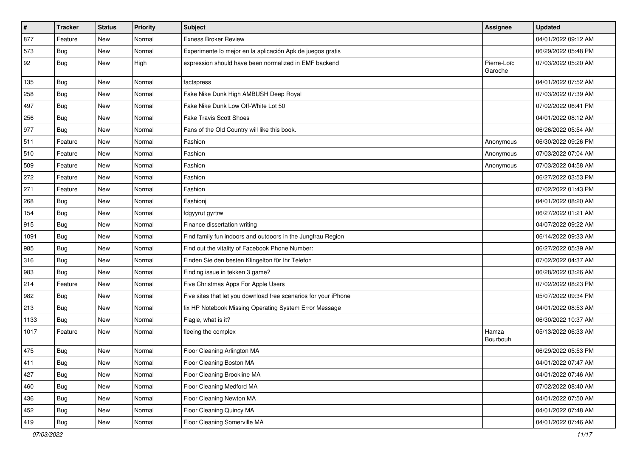| $\pmb{\#}$ | <b>Tracker</b> | <b>Status</b> | <b>Priority</b> | Subject                                                         | <b>Assignee</b>        | <b>Updated</b>      |
|------------|----------------|---------------|-----------------|-----------------------------------------------------------------|------------------------|---------------------|
| 877        | Feature        | New           | Normal          | <b>Exness Broker Review</b>                                     |                        | 04/01/2022 09:12 AM |
| 573        | <b>Bug</b>     | New           | Normal          | Experimente lo mejor en la aplicación Apk de juegos gratis      |                        | 06/29/2022 05:48 PM |
| 92         | Bug            | New           | High            | expression should have been normalized in EMF backend           | Pierre-Loïc<br>Garoche | 07/03/2022 05:20 AM |
| 135        | Bug            | New           | Normal          | factspress                                                      |                        | 04/01/2022 07:52 AM |
| 258        | <b>Bug</b>     | New           | Normal          | Fake Nike Dunk High AMBUSH Deep Royal                           |                        | 07/03/2022 07:39 AM |
| 497        | Bug            | New           | Normal          | Fake Nike Dunk Low Off-White Lot 50                             |                        | 07/02/2022 06:41 PM |
| 256        | <b>Bug</b>     | New           | Normal          | <b>Fake Travis Scott Shoes</b>                                  |                        | 04/01/2022 08:12 AM |
| 977        | <b>Bug</b>     | New           | Normal          | Fans of the Old Country will like this book.                    |                        | 06/26/2022 05:54 AM |
| 511        | Feature        | New           | Normal          | Fashion                                                         | Anonymous              | 06/30/2022 09:26 PM |
| 510        | Feature        | New           | Normal          | Fashion                                                         | Anonymous              | 07/03/2022 07:04 AM |
| 509        | Feature        | New           | Normal          | Fashion                                                         | Anonymous              | 07/03/2022 04:58 AM |
| 272        | Feature        | New           | Normal          | Fashion                                                         |                        | 06/27/2022 03:53 PM |
| 271        | Feature        | New           | Normal          | Fashion                                                         |                        | 07/02/2022 01:43 PM |
| 268        | <b>Bug</b>     | New           | Normal          | Fashionj                                                        |                        | 04/01/2022 08:20 AM |
| 154        | <b>Bug</b>     | New           | Normal          | fdgyyrut gyrtrw                                                 |                        | 06/27/2022 01:21 AM |
| 915        | <b>Bug</b>     | <b>New</b>    | Normal          | Finance dissertation writing                                    |                        | 04/07/2022 09:22 AM |
| 1091       | Bug            | New           | Normal          | Find family fun indoors and outdoors in the Jungfrau Region     |                        | 06/14/2022 09:33 AM |
| 985        | <b>Bug</b>     | New           | Normal          | Find out the vitality of Facebook Phone Number:                 |                        | 06/27/2022 05:39 AM |
| 316        | Bug            | New           | Normal          | Finden Sie den besten Klingelton für Ihr Telefon                |                        | 07/02/2022 04:37 AM |
| 983        | <b>Bug</b>     | New           | Normal          | Finding issue in tekken 3 game?                                 |                        | 06/28/2022 03:26 AM |
| 214        | Feature        | New           | Normal          | Five Christmas Apps For Apple Users                             |                        | 07/02/2022 08:23 PM |
| 982        | Bug            | New           | Normal          | Five sites that let you download free scenarios for your iPhone |                        | 05/07/2022 09:34 PM |
| 213        | <b>Bug</b>     | New           | Normal          | fix HP Notebook Missing Operating System Error Message          |                        | 04/01/2022 08:53 AM |
| 1133       | <b>Bug</b>     | New           | Normal          | Flagle, what is it?                                             |                        | 06/30/2022 10:37 AM |
| 1017       | Feature        | New           | Normal          | fleeing the complex                                             | Hamza<br>Bourbouh      | 05/13/2022 06:33 AM |
| 475        | <b>Bug</b>     | New           | Normal          | Floor Cleaning Arlington MA                                     |                        | 06/29/2022 05:53 PM |
| 411        | Bug            | New           | Normal          | Floor Cleaning Boston MA                                        |                        | 04/01/2022 07:47 AM |
| 427        | <b>Bug</b>     | New           | Normal          | Floor Cleaning Brookline MA                                     |                        | 04/01/2022 07:46 AM |
| 460        | Bug            | New           | Normal          | Floor Cleaning Medford MA                                       |                        | 07/02/2022 08:40 AM |
| 436        | <b>Bug</b>     | New           | Normal          | Floor Cleaning Newton MA                                        |                        | 04/01/2022 07:50 AM |
| 452        | <b>Bug</b>     | New           | Normal          | Floor Cleaning Quincy MA                                        |                        | 04/01/2022 07:48 AM |
| 419        | <b>Bug</b>     | New           | Normal          | Floor Cleaning Somerville MA                                    |                        | 04/01/2022 07:46 AM |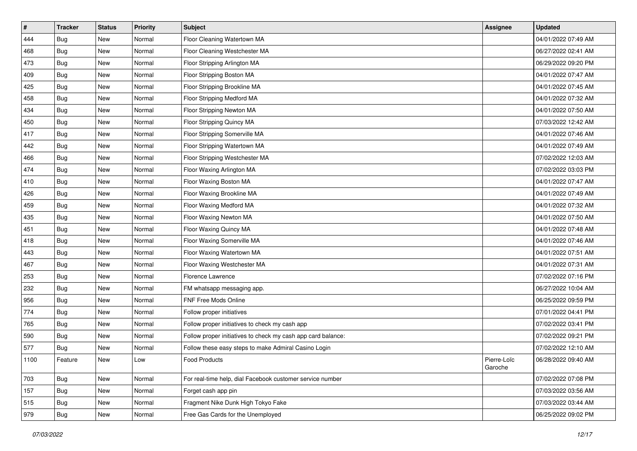| #    | <b>Tracker</b> | <b>Status</b> | Priority | <b>Subject</b>                                               | <b>Assignee</b>        | <b>Updated</b>      |
|------|----------------|---------------|----------|--------------------------------------------------------------|------------------------|---------------------|
| 444  | <b>Bug</b>     | New           | Normal   | Floor Cleaning Watertown MA                                  |                        | 04/01/2022 07:49 AM |
| 468  | <b>Bug</b>     | New           | Normal   | Floor Cleaning Westchester MA                                |                        | 06/27/2022 02:41 AM |
| 473  | <b>Bug</b>     | New           | Normal   | Floor Stripping Arlington MA                                 |                        | 06/29/2022 09:20 PM |
| 409  | <b>Bug</b>     | New           | Normal   | Floor Stripping Boston MA                                    |                        | 04/01/2022 07:47 AM |
| 425  | Bug            | New           | Normal   | Floor Stripping Brookline MA                                 |                        | 04/01/2022 07:45 AM |
| 458  | <b>Bug</b>     | New           | Normal   | Floor Stripping Medford MA                                   |                        | 04/01/2022 07:32 AM |
| 434  | <b>Bug</b>     | New           | Normal   | Floor Stripping Newton MA                                    |                        | 04/01/2022 07:50 AM |
| 450  | <b>Bug</b>     | New           | Normal   | Floor Stripping Quincy MA                                    |                        | 07/03/2022 12:42 AM |
| 417  | <b>Bug</b>     | New           | Normal   | Floor Stripping Somerville MA                                |                        | 04/01/2022 07:46 AM |
| 442  | Bug            | New           | Normal   | Floor Stripping Watertown MA                                 |                        | 04/01/2022 07:49 AM |
| 466  | <b>Bug</b>     | New           | Normal   | Floor Stripping Westchester MA                               |                        | 07/02/2022 12:03 AM |
| 474  | Bug            | New           | Normal   | Floor Waxing Arlington MA                                    |                        | 07/02/2022 03:03 PM |
| 410  | <b>Bug</b>     | New           | Normal   | Floor Waxing Boston MA                                       |                        | 04/01/2022 07:47 AM |
| 426  | <b>Bug</b>     | New           | Normal   | Floor Waxing Brookline MA                                    |                        | 04/01/2022 07:49 AM |
| 459  | <b>Bug</b>     | New           | Normal   | Floor Waxing Medford MA                                      |                        | 04/01/2022 07:32 AM |
| 435  | <b>Bug</b>     | New           | Normal   | Floor Waxing Newton MA                                       |                        | 04/01/2022 07:50 AM |
| 451  | <b>Bug</b>     | New           | Normal   | Floor Waxing Quincy MA                                       |                        | 04/01/2022 07:48 AM |
| 418  | <b>Bug</b>     | New           | Normal   | Floor Waxing Somerville MA                                   |                        | 04/01/2022 07:46 AM |
| 443  | Bug            | New           | Normal   | Floor Waxing Watertown MA                                    |                        | 04/01/2022 07:51 AM |
| 467  | <b>Bug</b>     | New           | Normal   | Floor Waxing Westchester MA                                  |                        | 04/01/2022 07:31 AM |
| 253  | <b>Bug</b>     | New           | Normal   | Florence Lawrence                                            |                        | 07/02/2022 07:16 PM |
| 232  | <b>Bug</b>     | New           | Normal   | FM whatsapp messaging app.                                   |                        | 06/27/2022 10:04 AM |
| 956  | Bug            | New           | Normal   | FNF Free Mods Online                                         |                        | 06/25/2022 09:59 PM |
| 774  | <b>Bug</b>     | New           | Normal   | Follow proper initiatives                                    |                        | 07/01/2022 04:41 PM |
| 765  | Bug            | New           | Normal   | Follow proper initiatives to check my cash app               |                        | 07/02/2022 03:41 PM |
| 590  | Bug            | New           | Normal   | Follow proper initiatives to check my cash app card balance: |                        | 07/02/2022 09:21 PM |
| 577  | <b>Bug</b>     | New           | Normal   | Follow these easy steps to make Admiral Casino Login         |                        | 07/02/2022 12:10 AM |
| 1100 | Feature        | New           | Low      | Food Products                                                | Pierre-Loïc<br>Garoche | 06/28/2022 09:40 AM |
| 703  | Bug            | New           | Normal   | For real-time help, dial Facebook customer service number    |                        | 07/02/2022 07:08 PM |
| 157  | Bug            | New           | Normal   | Forget cash app pin                                          |                        | 07/03/2022 03:56 AM |
| 515  | <b>Bug</b>     | New           | Normal   | Fragment Nike Dunk High Tokyo Fake                           |                        | 07/03/2022 03:44 AM |
| 979  | <b>Bug</b>     | New           | Normal   | Free Gas Cards for the Unemployed                            |                        | 06/25/2022 09:02 PM |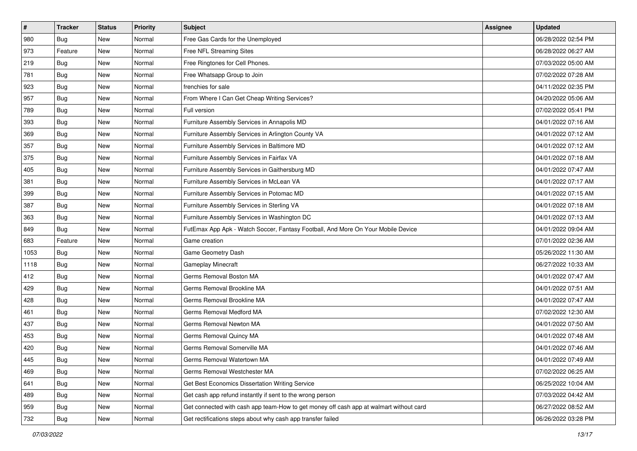| $\sharp$ | <b>Tracker</b> | <b>Status</b> | <b>Priority</b> | Subject                                                                                | <b>Assignee</b> | <b>Updated</b>      |
|----------|----------------|---------------|-----------------|----------------------------------------------------------------------------------------|-----------------|---------------------|
| 980      | <b>Bug</b>     | New           | Normal          | Free Gas Cards for the Unemployed                                                      |                 | 06/28/2022 02:54 PM |
| 973      | Feature        | New           | Normal          | Free NFL Streaming Sites                                                               |                 | 06/28/2022 06:27 AM |
| 219      | Bug            | New           | Normal          | Free Ringtones for Cell Phones.                                                        |                 | 07/03/2022 05:00 AM |
| 781      | Bug            | New           | Normal          | Free Whatsapp Group to Join                                                            |                 | 07/02/2022 07:28 AM |
| 923      | Bug            | New           | Normal          | frenchies for sale                                                                     |                 | 04/11/2022 02:35 PM |
| 957      | <b>Bug</b>     | New           | Normal          | From Where I Can Get Cheap Writing Services?                                           |                 | 04/20/2022 05:06 AM |
| 789      | Bug            | New           | Normal          | Full version                                                                           |                 | 07/02/2022 05:41 PM |
| 393      | <b>Bug</b>     | New           | Normal          | Furniture Assembly Services in Annapolis MD                                            |                 | 04/01/2022 07:16 AM |
| 369      | Bug            | New           | Normal          | Furniture Assembly Services in Arlington County VA                                     |                 | 04/01/2022 07:12 AM |
| 357      | Bug            | New           | Normal          | Furniture Assembly Services in Baltimore MD                                            |                 | 04/01/2022 07:12 AM |
| 375      | <b>Bug</b>     | New           | Normal          | Furniture Assembly Services in Fairfax VA                                              |                 | 04/01/2022 07:18 AM |
| 405      | Bug            | New           | Normal          | Furniture Assembly Services in Gaithersburg MD                                         |                 | 04/01/2022 07:47 AM |
| 381      | Bug            | New           | Normal          | Furniture Assembly Services in McLean VA                                               |                 | 04/01/2022 07:17 AM |
| 399      | Bug            | New           | Normal          | Furniture Assembly Services in Potomac MD                                              |                 | 04/01/2022 07:15 AM |
| 387      | <b>Bug</b>     | New           | Normal          | Furniture Assembly Services in Sterling VA                                             |                 | 04/01/2022 07:18 AM |
| 363      | Bug            | New           | Normal          | Furniture Assembly Services in Washington DC                                           |                 | 04/01/2022 07:13 AM |
| 849      | Bug            | New           | Normal          | FutEmax App Apk - Watch Soccer, Fantasy Football, And More On Your Mobile Device       |                 | 04/01/2022 09:04 AM |
| 683      | Feature        | New           | Normal          | Game creation                                                                          |                 | 07/01/2022 02:36 AM |
| 1053     | Bug            | New           | Normal          | Game Geometry Dash                                                                     |                 | 05/26/2022 11:30 AM |
| 1118     | Bug            | New           | Normal          | Gameplay Minecraft                                                                     |                 | 06/27/2022 10:33 AM |
| 412      | <b>Bug</b>     | New           | Normal          | Germs Removal Boston MA                                                                |                 | 04/01/2022 07:47 AM |
| 429      | Bug            | New           | Normal          | Germs Removal Brookline MA                                                             |                 | 04/01/2022 07:51 AM |
| 428      | Bug            | New           | Normal          | Germs Removal Brookline MA                                                             |                 | 04/01/2022 07:47 AM |
| 461      | <b>Bug</b>     | New           | Normal          | Germs Removal Medford MA                                                               |                 | 07/02/2022 12:30 AM |
| 437      | Bug            | New           | Normal          | Germs Removal Newton MA                                                                |                 | 04/01/2022 07:50 AM |
| 453      | Bug            | New           | Normal          | Germs Removal Quincy MA                                                                |                 | 04/01/2022 07:48 AM |
| 420      | <b>Bug</b>     | New           | Normal          | Germs Removal Somerville MA                                                            |                 | 04/01/2022 07:46 AM |
| 445      | i Bug          | New           | Normal          | Germs Removal Watertown MA                                                             |                 | 04/01/2022 07:49 AM |
| 469      | <b>Bug</b>     | New           | Normal          | Germs Removal Westchester MA                                                           |                 | 07/02/2022 06:25 AM |
| 641      | <b>Bug</b>     | New           | Normal          | Get Best Economics Dissertation Writing Service                                        |                 | 06/25/2022 10:04 AM |
| 489      | <b>Bug</b>     | New           | Normal          | Get cash app refund instantly if sent to the wrong person                              |                 | 07/03/2022 04:42 AM |
| 959      | Bug            | New           | Normal          | Get connected with cash app team-How to get money off cash app at walmart without card |                 | 06/27/2022 08:52 AM |
| 732      | <b>Bug</b>     | New           | Normal          | Get rectifications steps about why cash app transfer failed                            |                 | 06/26/2022 03:28 PM |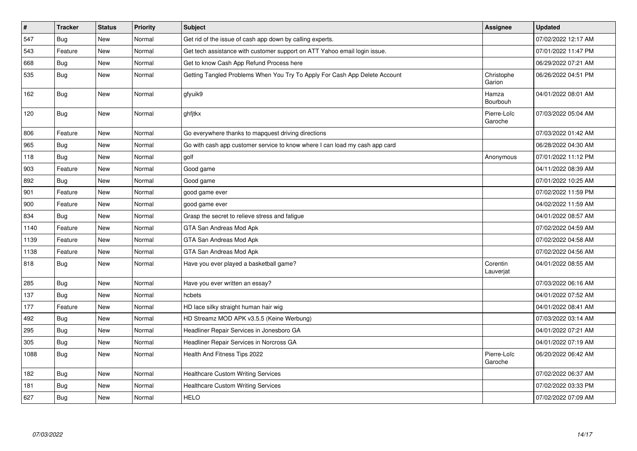| $\pmb{\#}$ | <b>Tracker</b> | <b>Status</b> | <b>Priority</b> | <b>Subject</b>                                                              | Assignee               | <b>Updated</b>      |
|------------|----------------|---------------|-----------------|-----------------------------------------------------------------------------|------------------------|---------------------|
| 547        | Bug            | New           | Normal          | Get rid of the issue of cash app down by calling experts.                   |                        | 07/02/2022 12:17 AM |
| 543        | Feature        | New           | Normal          | Get tech assistance with customer support on ATT Yahoo email login issue.   |                        | 07/01/2022 11:47 PM |
| 668        | Bug            | New           | Normal          | Get to know Cash App Refund Process here                                    |                        | 06/29/2022 07:21 AM |
| 535        | <b>Bug</b>     | New           | Normal          | Getting Tangled Problems When You Try To Apply For Cash App Delete Account  | Christophe<br>Garion   | 06/26/2022 04:51 PM |
| 162        | <b>Bug</b>     | New           | Normal          | gfyuik9                                                                     | Hamza<br>Bourbouh      | 04/01/2022 08:01 AM |
| 120        | Bug            | New           | Normal          | ghfitkx                                                                     | Pierre-Loïc<br>Garoche | 07/03/2022 05:04 AM |
| 806        | Feature        | New           | Normal          | Go everywhere thanks to mapquest driving directions                         |                        | 07/03/2022 01:42 AM |
| 965        | Bug            | New           | Normal          | Go with cash app customer service to know where I can load my cash app card |                        | 06/28/2022 04:30 AM |
| 118        | <b>Bug</b>     | New           | Normal          | golf                                                                        | Anonymous              | 07/01/2022 11:12 PM |
| 903        | Feature        | New           | Normal          | Good game                                                                   |                        | 04/11/2022 08:39 AM |
| 892        | Bug            | New           | Normal          | Good game                                                                   |                        | 07/01/2022 10:25 AM |
| 901        | Feature        | New           | Normal          | good game ever                                                              |                        | 07/02/2022 11:59 PM |
| 900        | Feature        | New           | Normal          | good game ever                                                              |                        | 04/02/2022 11:59 AM |
| 834        | Bug            | New           | Normal          | Grasp the secret to relieve stress and fatigue                              |                        | 04/01/2022 08:57 AM |
| 1140       | Feature        | New           | Normal          | GTA San Andreas Mod Apk                                                     |                        | 07/02/2022 04:59 AM |
| 1139       | Feature        | New           | Normal          | GTA San Andreas Mod Apk                                                     |                        | 07/02/2022 04:58 AM |
| 1138       | Feature        | New           | Normal          | GTA San Andreas Mod Apk                                                     |                        | 07/02/2022 04:56 AM |
| 818        | Bug            | New           | Normal          | Have you ever played a basketball game?                                     | Corentin<br>Lauverjat  | 04/01/2022 08:55 AM |
| 285        | Bug            | New           | Normal          | Have you ever written an essay?                                             |                        | 07/03/2022 06:16 AM |
| 137        | Bug            | New           | Normal          | hcbets                                                                      |                        | 04/01/2022 07:52 AM |
| 177        | Feature        | New           | Normal          | HD lace silky straight human hair wig                                       |                        | 04/01/2022 08:41 AM |
| 492        | Bug            | New           | Normal          | HD Streamz MOD APK v3.5.5 (Keine Werbung)                                   |                        | 07/03/2022 03:14 AM |
| 295        | Bug            | New           | Normal          | Headliner Repair Services in Jonesboro GA                                   |                        | 04/01/2022 07:21 AM |
| 305        | <b>Bug</b>     | New           | Normal          | Headliner Repair Services in Norcross GA                                    |                        | 04/01/2022 07:19 AM |
| 1088       | <b>Bug</b>     | New           | Normal          | Health And Fitness Tips 2022                                                | Pierre-Loïc<br>Garoche | 06/20/2022 06:42 AM |
| 182        | Bug            | New           | Normal          | <b>Healthcare Custom Writing Services</b>                                   |                        | 07/02/2022 06:37 AM |
| 181        | Bug            | New           | Normal          | <b>Healthcare Custom Writing Services</b>                                   |                        | 07/02/2022 03:33 PM |
| 627        | Bug            | New           | Normal          | <b>HELO</b>                                                                 |                        | 07/02/2022 07:09 AM |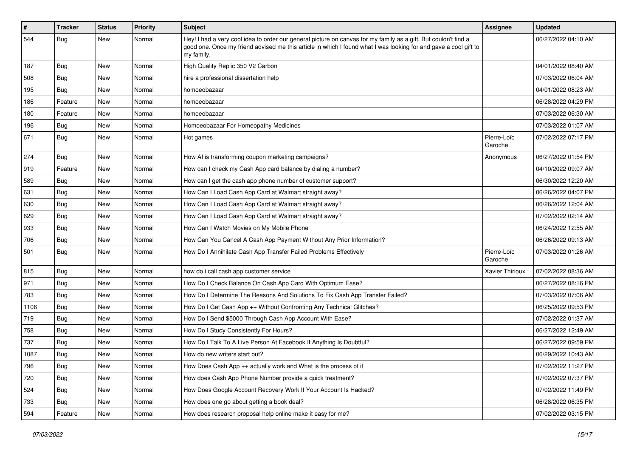| #    | <b>Tracker</b> | <b>Status</b> | Priority | Subject                                                                                                                                                                                                                                           | Assignee               | <b>Updated</b>      |
|------|----------------|---------------|----------|---------------------------------------------------------------------------------------------------------------------------------------------------------------------------------------------------------------------------------------------------|------------------------|---------------------|
| 544  | <b>Bug</b>     | New           | Normal   | Hey! I had a very cool idea to order our general picture on canvas for my family as a gift. But couldn't find a<br>good one. Once my friend advised me this article in which I found what I was looking for and gave a cool gift to<br>my family. |                        | 06/27/2022 04:10 AM |
| 187  | Bug            | New           | Normal   | High Quality Replic 350 V2 Carbon                                                                                                                                                                                                                 |                        | 04/01/2022 08:40 AM |
| 508  | <b>Bug</b>     | New           | Normal   | hire a professional dissertation help                                                                                                                                                                                                             |                        | 07/03/2022 06:04 AM |
| 195  | Bug            | New           | Normal   | homoeobazaar                                                                                                                                                                                                                                      |                        | 04/01/2022 08:23 AM |
| 186  | Feature        | New           | Normal   | homoeobazaar                                                                                                                                                                                                                                      |                        | 06/28/2022 04:29 PM |
| 180  | Feature        | New           | Normal   | homoeobazaar                                                                                                                                                                                                                                      |                        | 07/03/2022 06:30 AM |
| 196  | Bug            | New           | Normal   | Homoeobazaar For Homeopathy Medicines                                                                                                                                                                                                             |                        | 07/03/2022 01:07 AM |
| 671  | <b>Bug</b>     | New           | Normal   | Hot games                                                                                                                                                                                                                                         | Pierre-Loïc<br>Garoche | 07/02/2022 07:17 PM |
| 274  | Bug            | New           | Normal   | How AI is transforming coupon marketing campaigns?                                                                                                                                                                                                | Anonymous              | 06/27/2022 01:54 PM |
| 919  | Feature        | New           | Normal   | How can I check my Cash App card balance by dialing a number?                                                                                                                                                                                     |                        | 04/10/2022 09:07 AM |
| 589  | <b>Bug</b>     | New           | Normal   | How can I get the cash app phone number of customer support?                                                                                                                                                                                      |                        | 06/30/2022 12:20 AM |
| 631  | <b>Bug</b>     | New           | Normal   | How Can I Load Cash App Card at Walmart straight away?                                                                                                                                                                                            |                        | 06/26/2022 04:07 PM |
| 630  | Bug            | New           | Normal   | How Can I Load Cash App Card at Walmart straight away?                                                                                                                                                                                            |                        | 06/26/2022 12:04 AM |
| 629  | Bug            | New           | Normal   | How Can I Load Cash App Card at Walmart straight away?                                                                                                                                                                                            |                        | 07/02/2022 02:14 AM |
| 933  | Bug            | New           | Normal   | How Can I Watch Movies on My Mobile Phone                                                                                                                                                                                                         |                        | 06/24/2022 12:55 AM |
| 706  | Bug            | New           | Normal   | How Can You Cancel A Cash App Payment Without Any Prior Information?                                                                                                                                                                              |                        | 06/26/2022 09:13 AM |
| 501  | <b>Bug</b>     | New           | Normal   | How Do I Annihilate Cash App Transfer Failed Problems Effectively                                                                                                                                                                                 | Pierre-Loïc<br>Garoche | 07/03/2022 01:26 AM |
| 815  | <b>Bug</b>     | New           | Normal   | how do i call cash app customer service                                                                                                                                                                                                           | Xavier Thirioux        | 07/02/2022 08:36 AM |
| 971  | Bug            | New           | Normal   | How Do I Check Balance On Cash App Card With Optimum Ease?                                                                                                                                                                                        |                        | 06/27/2022 08:16 PM |
| 783  | Bug            | New           | Normal   | How Do I Determine The Reasons And Solutions To Fix Cash App Transfer Failed?                                                                                                                                                                     |                        | 07/03/2022 07:06 AM |
| 1106 | Bug            | New           | Normal   | How Do I Get Cash App ++ Without Confronting Any Technical Glitches?                                                                                                                                                                              |                        | 06/25/2022 09:53 PM |
| 719  | Bug            | New           | Normal   | How Do I Send \$5000 Through Cash App Account With Ease?                                                                                                                                                                                          |                        | 07/02/2022 01:37 AM |
| 758  | <b>Bug</b>     | New           | Normal   | How Do I Study Consistently For Hours?                                                                                                                                                                                                            |                        | 06/27/2022 12:49 AM |
| 737  | Bug            | New           | Normal   | How Do I Talk To A Live Person At Facebook If Anything Is Doubtful?                                                                                                                                                                               |                        | 06/27/2022 09:59 PM |
| 1087 | <b>Bug</b>     | New           | Normal   | How do new writers start out?                                                                                                                                                                                                                     |                        | 06/29/2022 10:43 AM |
| 796  | Bug            | New           | Normal   | How Does Cash App ++ actually work and What is the process of it                                                                                                                                                                                  |                        | 07/02/2022 11:27 PM |
| 720  | <b>Bug</b>     | New           | Normal   | How does Cash App Phone Number provide a quick treatment?                                                                                                                                                                                         |                        | 07/02/2022 07:37 PM |
| 524  | <b>Bug</b>     | New           | Normal   | How Does Google Account Recovery Work If Your Account Is Hacked?                                                                                                                                                                                  |                        | 07/02/2022 11:49 PM |
| 733  | <b>Bug</b>     | New           | Normal   | How does one go about getting a book deal?                                                                                                                                                                                                        |                        | 06/28/2022 06:35 PM |
| 594  | Feature        | New           | Normal   | How does research proposal help online make it easy for me?                                                                                                                                                                                       |                        | 07/02/2022 03:15 PM |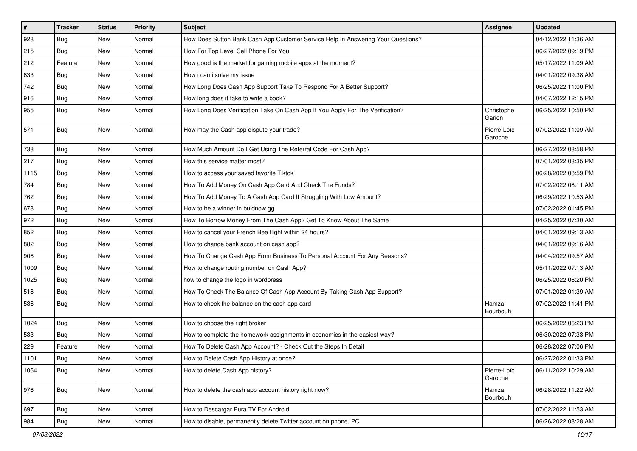| $\vert$ # | <b>Tracker</b> | <b>Status</b> | <b>Priority</b> | Subject                                                                          | <b>Assignee</b>        | <b>Updated</b>      |
|-----------|----------------|---------------|-----------------|----------------------------------------------------------------------------------|------------------------|---------------------|
| 928       | <b>Bug</b>     | New           | Normal          | How Does Sutton Bank Cash App Customer Service Help In Answering Your Questions? |                        | 04/12/2022 11:36 AM |
| 215       | <b>Bug</b>     | New           | Normal          | How For Top Level Cell Phone For You                                             |                        | 06/27/2022 09:19 PM |
| 212       | Feature        | New           | Normal          | How good is the market for gaming mobile apps at the moment?                     |                        | 05/17/2022 11:09 AM |
| 633       | Bug            | New           | Normal          | How i can i solve my issue                                                       |                        | 04/01/2022 09:38 AM |
| 742       | Bug            | New           | Normal          | How Long Does Cash App Support Take To Respond For A Better Support?             |                        | 06/25/2022 11:00 PM |
| 916       | <b>Bug</b>     | New           | Normal          | How long does it take to write a book?                                           |                        | 04/07/2022 12:15 PM |
| 955       | Bug            | New           | Normal          | How Long Does Verification Take On Cash App If You Apply For The Verification?   | Christophe<br>Garion   | 06/25/2022 10:50 PM |
| 571       | <b>Bug</b>     | New           | Normal          | How may the Cash app dispute your trade?                                         | Pierre-Loïc<br>Garoche | 07/02/2022 11:09 AM |
| 738       | Bug            | New           | Normal          | How Much Amount Do I Get Using The Referral Code For Cash App?                   |                        | 06/27/2022 03:58 PM |
| 217       | Bug            | New           | Normal          | How this service matter most?                                                    |                        | 07/01/2022 03:35 PM |
| 1115      | Bug            | New           | Normal          | How to access your saved favorite Tiktok                                         |                        | 06/28/2022 03:59 PM |
| 784       | <b>Bug</b>     | New           | Normal          | How To Add Money On Cash App Card And Check The Funds?                           |                        | 07/02/2022 08:11 AM |
| 762       | Bug            | New           | Normal          | How To Add Money To A Cash App Card If Struggling With Low Amount?               |                        | 06/29/2022 10:53 AM |
| 678       | Bug            | New           | Normal          | How to be a winner in buidnow gg                                                 |                        | 07/02/2022 01:45 PM |
| 972       | <b>Bug</b>     | New           | Normal          | How To Borrow Money From The Cash App? Get To Know About The Same                |                        | 04/25/2022 07:30 AM |
| 852       | <b>Bug</b>     | New           | Normal          | How to cancel your French Bee flight within 24 hours?                            |                        | 04/01/2022 09:13 AM |
| 882       | Bug            | New           | Normal          | How to change bank account on cash app?                                          |                        | 04/01/2022 09:16 AM |
| 906       | Bug            | New           | Normal          | How To Change Cash App From Business To Personal Account For Any Reasons?        |                        | 04/04/2022 09:57 AM |
| 1009      | Bug            | New           | Normal          | How to change routing number on Cash App?                                        |                        | 05/11/2022 07:13 AM |
| 1025      | Bug            | New           | Normal          | how to change the logo in wordpress                                              |                        | 06/25/2022 06:20 PM |
| 518       | Bug            | New           | Normal          | How To Check The Balance Of Cash App Account By Taking Cash App Support?         |                        | 07/01/2022 01:39 AM |
| 536       | Bug            | New           | Normal          | How to check the balance on the cash app card                                    | Hamza<br>Bourbouh      | 07/02/2022 11:41 PM |
| 1024      | Bug            | New           | Normal          | How to choose the right broker                                                   |                        | 06/25/2022 06:23 PM |
| 533       | Bug            | New           | Normal          | How to complete the homework assignments in economics in the easiest way?        |                        | 06/30/2022 07:33 PM |
| 229       | Feature        | New           | Normal          | How To Delete Cash App Account? - Check Out the Steps In Detail                  |                        | 06/28/2022 07:06 PM |
| 1101      | <b>Bug</b>     | New           | Normal          | How to Delete Cash App History at once?                                          |                        | 06/27/2022 01:33 PM |
| 1064      | Bug            | New           | Normal          | How to delete Cash App history?                                                  | Pierre-Loïc<br>Garoche | 06/11/2022 10:29 AM |
| 976       | <b>Bug</b>     | New           | Normal          | How to delete the cash app account history right now?                            | Hamza<br>Bourbouh      | 06/28/2022 11:22 AM |
| 697       | <b>Bug</b>     | New           | Normal          | How to Descargar Pura TV For Android                                             |                        | 07/02/2022 11:53 AM |
| 984       | <b>Bug</b>     | New           | Normal          | How to disable, permanently delete Twitter account on phone, PC                  |                        | 06/26/2022 08:28 AM |